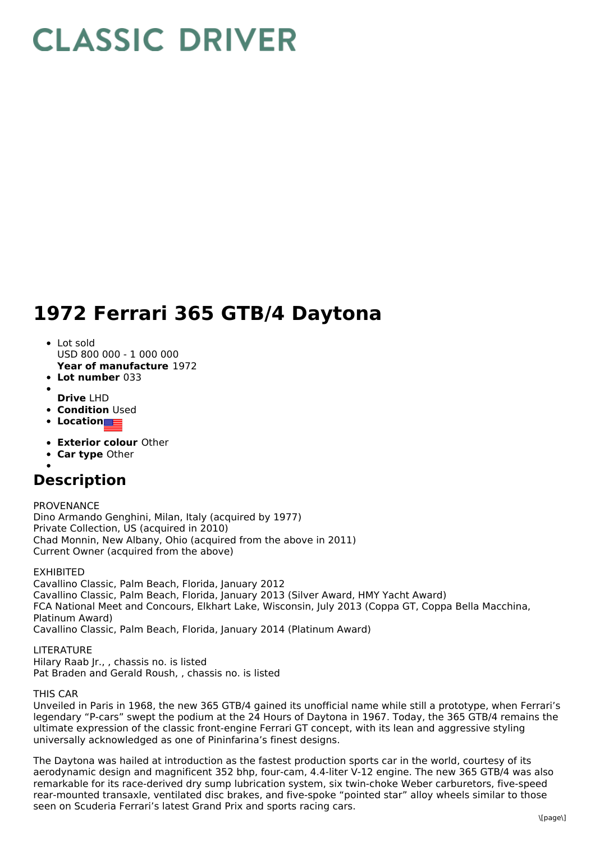# **CLASSIC DRIVER**

## **1972 Ferrari 365 GTB/4 Daytona**

- **Year of manufacture** 1972 • Lot sold USD 800 000 - 1 000 000
- **Lot number** 033
- 
- **Drive** LHD
- **Condition Used**
- **Location**
- **Exterior colour** Other
- **Car type** Other
- 

### **Description**

PROVENANCE Dino Armando Genghini, Milan, Italy (acquired by 1977) Private Collection, US (acquired in 2010) Chad Monnin, New Albany, Ohio (acquired from the above in 2011) Current Owner (acquired from the above)

#### EXHIBITED

Cavallino Classic, Palm Beach, Florida, January 2012 Cavallino Classic, Palm Beach, Florida, January 2013 (Silver Award, HMY Yacht Award) FCA National Meet and Concours, Elkhart Lake, Wisconsin, July 2013 (Coppa GT, Coppa Bella Macchina, Platinum Award) Cavallino Classic, Palm Beach, Florida, January 2014 (Platinum Award)

#### LITERATURE

Hilary Raab Jr., , chassis no. is listed

Pat Braden and Gerald Roush, , chassis no. is listed

#### THIS CAR

Unveiled in Paris in 1968, the new 365 GTB/4 gained its unofficial name while still a prototype, when Ferrari's legendary "P-cars" swept the podium at the 24 Hours of Daytona in 1967. Today, the 365 GTB/4 remains the ultimate expression of the classic front-engine Ferrari GT concept, with its lean and aggressive styling universally acknowledged as one of Pininfarina's finest designs.

The Daytona was hailed at introduction as the fastest production sports car in the world, courtesy of its aerodynamic design and magnificent 352 bhp, four-cam, 4.4-liter V-12 engine. The new 365 GTB/4 was also remarkable for its race-derived dry sump lubrication system, six twin-choke Weber carburetors, five-speed rear-mounted transaxle, ventilated disc brakes, and five-spoke "pointed star" alloy wheels similar to those seen on Scuderia Ferrari's latest Grand Prix and sports racing cars.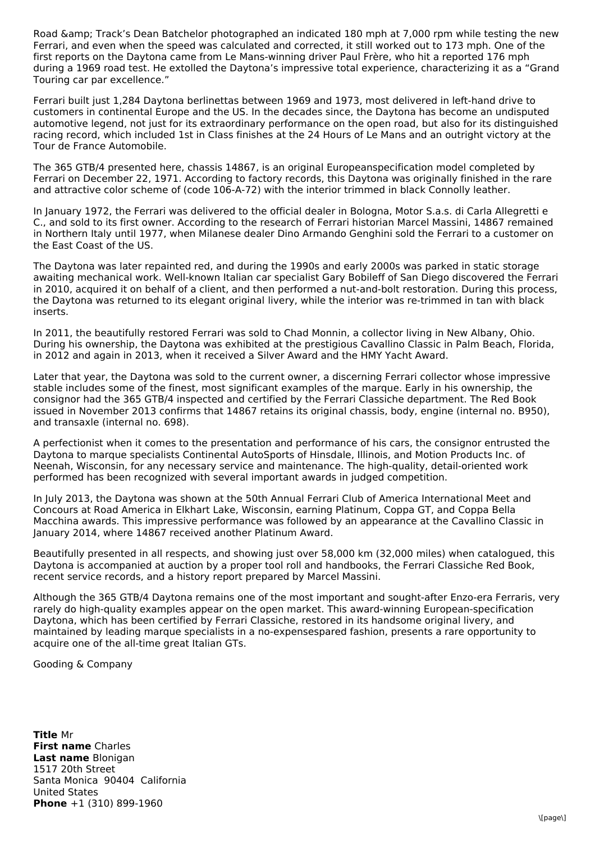Road & amp; Track's Dean Batchelor photographed an indicated 180 mph at 7,000 rpm while testing the new Ferrari, and even when the speed was calculated and corrected, it still worked out to 173 mph. One of the first reports on the Daytona came from Le Mans-winning driver Paul Frère, who hit a reported 176 mph during a 1969 road test. He extolled the Daytona's impressive total experience, characterizing it as a "Grand Touring car par excellence."

Ferrari built just 1,284 Daytona berlinettas between 1969 and 1973, most delivered in left-hand drive to customers in continental Europe and the US. In the decades since, the Daytona has become an undisputed automotive legend, not just for its extraordinary performance on the open road, but also for its distinguished racing record, which included 1st in Class finishes at the 24 Hours of Le Mans and an outright victory at the Tour de France Automobile.

The 365 GTB/4 presented here, chassis 14867, is an original Europeanspecification model completed by Ferrari on December 22, 1971. According to factory records, this Daytona was originally finished in the rare and attractive color scheme of (code 106-A-72) with the interior trimmed in black Connolly leather.

In January 1972, the Ferrari was delivered to the official dealer in Bologna, Motor S.a.s. di Carla Allegretti e C., and sold to its first owner. According to the research of Ferrari historian Marcel Massini, 14867 remained in Northern Italy until 1977, when Milanese dealer Dino Armando Genghini sold the Ferrari to a customer on the East Coast of the US.

The Daytona was later repainted red, and during the 1990s and early 2000s was parked in static storage awaiting mechanical work. Well-known Italian car specialist Gary Bobileff of San Diego discovered the Ferrari in 2010, acquired it on behalf of a client, and then performed a nut-and-bolt restoration. During this process, the Daytona was returned to its elegant original livery, while the interior was re-trimmed in tan with black inserts.

In 2011, the beautifully restored Ferrari was sold to Chad Monnin, a collector living in New Albany, Ohio. During his ownership, the Daytona was exhibited at the prestigious Cavallino Classic in Palm Beach, Florida, in 2012 and again in 2013, when it received a Silver Award and the HMY Yacht Award.

Later that year, the Daytona was sold to the current owner, a discerning Ferrari collector whose impressive stable includes some of the finest, most significant examples of the marque. Early in his ownership, the consignor had the 365 GTB/4 inspected and certified by the Ferrari Classiche department. The Red Book issued in November 2013 confirms that 14867 retains its original chassis, body, engine (internal no. B950), and transaxle (internal no. 698).

A perfectionist when it comes to the presentation and performance of his cars, the consignor entrusted the Daytona to marque specialists Continental AutoSports of Hinsdale, Illinois, and Motion Products Inc. of Neenah, Wisconsin, for any necessary service and maintenance. The high-quality, detail-oriented work performed has been recognized with several important awards in judged competition.

In July 2013, the Daytona was shown at the 50th Annual Ferrari Club of America International Meet and Concours at Road America in Elkhart Lake, Wisconsin, earning Platinum, Coppa GT, and Coppa Bella Macchina awards. This impressive performance was followed by an appearance at the Cavallino Classic in January 2014, where 14867 received another Platinum Award.

Beautifully presented in all respects, and showing just over 58,000 km (32,000 miles) when catalogued, this Daytona is accompanied at auction by a proper tool roll and handbooks, the Ferrari Classiche Red Book, recent service records, and a history report prepared by Marcel Massini.

Although the 365 GTB/4 Daytona remains one of the most important and sought-after Enzo-era Ferraris, very rarely do high-quality examples appear on the open market. This award-winning European-specification Daytona, which has been certified by Ferrari Classiche, restored in its handsome original livery, and maintained by leading marque specialists in a no-expensespared fashion, presents a rare opportunity to acquire one of the all-time great Italian GTs.

Gooding & Company

**Title** Mr **First name** Charles **Last name** Blonigan **Phone** +1 (310) 899-1960 1517 20th Street Santa Monica 90404 California United States